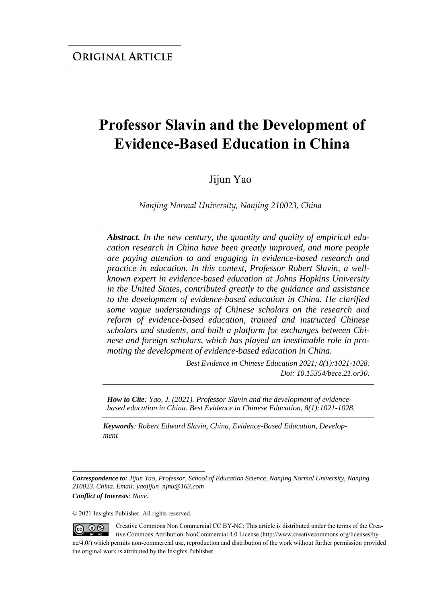# **Professor Slavin and the Development of Evidence-Based Education in China**

Jijun Yao

*Nanjing Normal University, Nanjing 210023, China*

*Abstract. In the new century, the quantity and quality of empirical education research in China have been greatly improved, and more people are paying attention to and engaging in evidence-based research and practice in education. In this context, Professor Robert Slavin, a wellknown expert in evidence-based education at Johns Hopkins University in the United States, contributed greatly to the guidance and assistance to the development of evidence-based education in China. He clarified some vague understandings of Chinese scholars on the research and reform of evidence-based education, trained and instructed Chinese scholars and students, and built a platform for exchanges between Chinese and foreign scholars, which has played an inestimable role in promoting the development of evidence-based education in China.*

> *Best Evidence in Chinese Education 2021; 8(1):1021-1028. Doi: 10.15354/bece.21.or30.*

*How to Cite: Yao, J. (2021). Professor Slavin and the development of evidencebased education in China. Best Evidence in Chinese Education, 8(1):1021-1028.*

*Keywords: Robert Edward Slavin, China, Evidence-Based Education, Development*

© 2021 Insights Publisher. All rights reserved.

Creative Commons Non Commercial CC BY-NC: This article is distributed under the terms of the Crea- $\circledcirc$   $\circledcirc$ tive Commons Attribution-NonCommercial 4.0 License (http://www.creativecommons.org/licenses/bync/4.0/) which permits non-commercial use, reproduction and distribution of the work without further permission provided the original work is attributed by the Insights Publisher.

*Correspondence to: Jijun Yao, Professor, School of Education Science, Nanjing Normal University, Nanjing 210023, China. Email: yaojijun\_njnu@163.com Conflict of Interests: None.*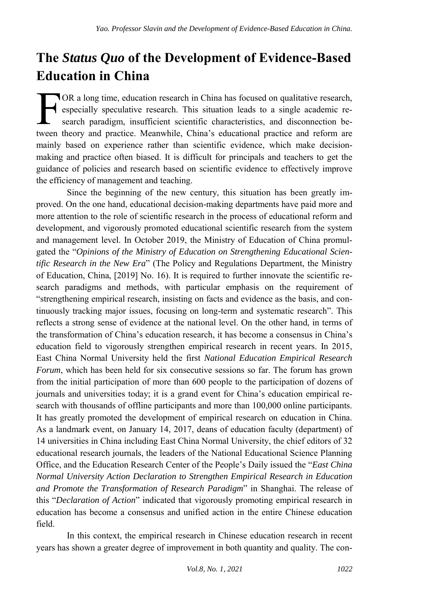## **The** *Status Quo* **of the Development of Evidence-Based Education in China**

OR a long time, education research in China has focused on qualitative research, especially speculative research. This situation leads to a single academic research paradigm, insufficient scientific characteristics, and disconnection be-OR a long time, education research in China has focused on qualitative research, especially speculative research. This situation leads to a single academic research paradigm, insufficient scientific characteristics, and di mainly based on experience rather than scientific evidence, which make decisionmaking and practice often biased. It is difficult for principals and teachers to get the guidance of policies and research based on scientific evidence to effectively improve the efficiency of management and teaching.

Since the beginning of the new century, this situation has been greatly improved. On the one hand, educational decision-making departments have paid more and more attention to the role of scientific research in the process of educational reform and development, and vigorously promoted educational scientific research from the system and management level. In October 2019, the Ministry of Education of China promulgated the "*Opinions of the Ministry of Education on Strengthening Educational Scientific Research in the New Era*" (The Policy and Regulations Department, the Ministry of Education, China, [2019] No. 16). It is required to further innovate the scientific research paradigms and methods, with particular emphasis on the requirement of "strengthening empirical research, insisting on facts and evidence as the basis, and continuously tracking major issues, focusing on long-term and systematic research". This reflects a strong sense of evidence at the national level. On the other hand, in terms of the transformation of China's education research, it has become a consensus in China's education field to vigorously strengthen empirical research in recent years. In 2015, East China Normal University held the first *National Education Empirical Research Forum*, which has been held for six consecutive sessions so far. The forum has grown from the initial participation of more than 600 people to the participation of dozens of journals and universities today; it is a grand event for China's education empirical research with thousands of offline participants and more than 100,000 online participants. It has greatly promoted the development of empirical research on education in China. As a landmark event, on January 14, 2017, deans of education faculty (department) of 14 universities in China including East China Normal University, the chief editors of 32 educational research journals, the leaders of the National Educational Science Planning Office, and the Education Research Center of the People's Daily issued the "*East China Normal University Action Declaration to Strengthen Empirical Research in Education and Promote the Transformation of Research Paradigm*" in Shanghai. The release of this "*Declaration of Action*" indicated that vigorously promoting empirical research in education has become a consensus and unified action in the entire Chinese education field.

In this context, the empirical research in Chinese education research in recent years has shown a greater degree of improvement in both quantity and quality. The con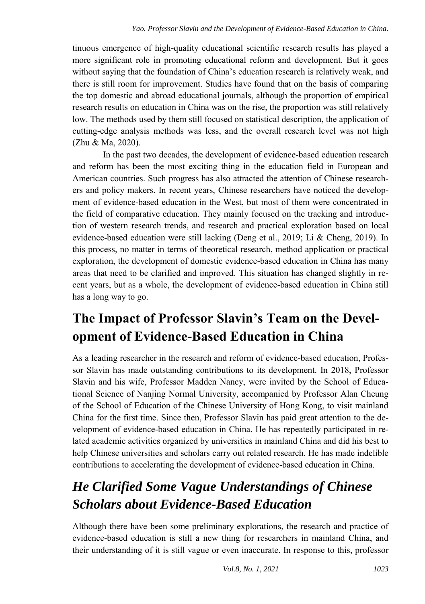tinuous emergence of high-quality educational scientific research results has played a more significant role in promoting educational reform and development. But it goes without saying that the foundation of China's education research is relatively weak, and there is still room for improvement. Studies have found that on the basis of comparing the top domestic and abroad educational journals, although the proportion of empirical research results on education in China was on the rise, the proportion was still relatively low. The methods used by them still focused on statistical description, the application of cutting-edge analysis methods was less, and the overall research level was not high (Zhu & Ma, 2020).

In the past two decades, the development of evidence-based education research and reform has been the most exciting thing in the education field in European and American countries. Such progress has also attracted the attention of Chinese researchers and policy makers. In recent years, Chinese researchers have noticed the development of evidence-based education in the West, but most of them were concentrated in the field of comparative education. They mainly focused on the tracking and introduction of western research trends, and research and practical exploration based on local evidence-based education were still lacking (Deng et al., 2019; Li & Cheng, 2019). In this process, no matter in terms of theoretical research, method application or practical exploration, the development of domestic evidence-based education in China has many areas that need to be clarified and improved. This situation has changed slightly in recent years, but as a whole, the development of evidence-based education in China still has a long way to go.

# **The Impact of Professor Slavin's Team on the Development of Evidence-Based Education in China**

As a leading researcher in the research and reform of evidence-based education, Professor Slavin has made outstanding contributions to its development. In 2018, Professor Slavin and his wife, Professor Madden Nancy, were invited by the School of Educational Science of Nanjing Normal University, accompanied by Professor Alan Cheung of the School of Education of the Chinese University of Hong Kong, to visit mainland China for the first time. Since then, Professor Slavin has paid great attention to the development of evidence-based education in China. He has repeatedly participated in related academic activities organized by universities in mainland China and did his best to help Chinese universities and scholars carry out related research. He has made indelible contributions to accelerating the development of evidence-based education in China.

# *He Clarified Some Vague Understandings of Chinese Scholars about Evidence-Based Education*

Although there have been some preliminary explorations, the research and practice of evidence-based education is still a new thing for researchers in mainland China, and their understanding of it is still vague or even inaccurate. In response to this, professor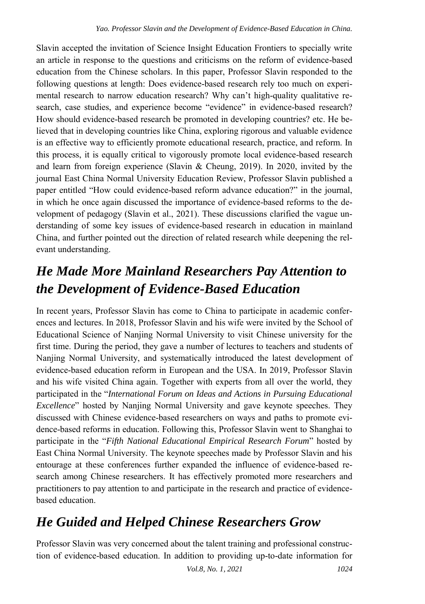Slavin accepted the invitation of Science Insight Education Frontiers to specially write an article in response to the questions and criticisms on the reform of evidence-based education from the Chinese scholars. In this paper, Professor Slavin responded to the following questions at length: Does evidence-based research rely too much on experimental research to narrow education research? Why can't high-quality qualitative research, case studies, and experience become "evidence" in evidence-based research? How should evidence-based research be promoted in developing countries? etc. He believed that in developing countries like China, exploring rigorous and valuable evidence is an effective way to efficiently promote educational research, practice, and reform. In this process, it is equally critical to vigorously promote local evidence-based research and learn from foreign experience (Slavin & Cheung, 2019). In 2020, invited by the journal East China Normal University Education Review, Professor Slavin published a paper entitled "How could evidence-based reform advance education?" in the journal, in which he once again discussed the importance of evidence-based reforms to the development of pedagogy (Slavin et al., 2021). These discussions clarified the vague understanding of some key issues of evidence-based research in education in mainland China, and further pointed out the direction of related research while deepening the relevant understanding.

### *He Made More Mainland Researchers Pay Attention to the Development of Evidence-Based Education*

In recent years, Professor Slavin has come to China to participate in academic conferences and lectures. In 2018, Professor Slavin and his wife were invited by the School of Educational Science of Nanjing Normal University to visit Chinese university for the first time. During the period, they gave a number of lectures to teachers and students of Nanjing Normal University, and systematically introduced the latest development of evidence-based education reform in European and the USA. In 2019, Professor Slavin and his wife visited China again. Together with experts from all over the world, they participated in the "*International Forum on Ideas and Actions in Pursuing Educational Excellence*" hosted by Nanjing Normal University and gave keynote speeches. They discussed with Chinese evidence-based researchers on ways and paths to promote evidence-based reforms in education. Following this, Professor Slavin went to Shanghai to participate in the "*Fifth National Educational Empirical Research Forum*" hosted by East China Normal University. The keynote speeches made by Professor Slavin and his entourage at these conferences further expanded the influence of evidence-based research among Chinese researchers. It has effectively promoted more researchers and practitioners to pay attention to and participate in the research and practice of evidencebased education.

# *He Guided and Helped Chinese Researchers Grow*

Professor Slavin was very concerned about the talent training and professional construction of evidence-based education. In addition to providing up-to-date information for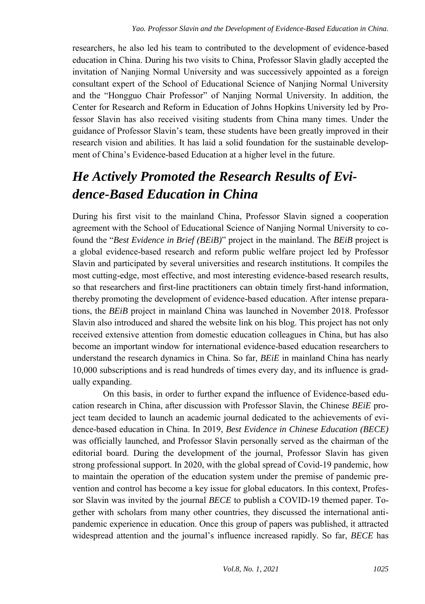researchers, he also led his team to contributed to the development of evidence-based education in China. During his two visits to China, Professor Slavin gladly accepted the invitation of Nanjing Normal University and was successively appointed as a foreign consultant expert of the School of Educational Science of Nanjing Normal University and the "Hongguo Chair Professor" of Nanjing Normal University. In addition, the Center for Research and Reform in Education of Johns Hopkins University led by Professor Slavin has also received visiting students from China many times. Under the guidance of Professor Slavin's team, these students have been greatly improved in their research vision and abilities. It has laid a solid foundation for the sustainable development of China's Evidence-based Education at a higher level in the future.

## *He Actively Promoted the Research Results of Evidence-Based Education in China*

During his first visit to the mainland China, Professor Slavin signed a cooperation agreement with the School of Educational Science of Nanjing Normal University to cofound the "*Best Evidence in Brief (BEiB)*" project in the mainland. The *BEiB* project is a global evidence-based research and reform public welfare project led by Professor Slavin and participated by several universities and research institutions. It compiles the most cutting-edge, most effective, and most interesting evidence-based research results, so that researchers and first-line practitioners can obtain timely first-hand information, thereby promoting the development of evidence-based education. After intense preparations, the *BEiB* project in mainland China was launched in November 2018. Professor Slavin also introduced and shared the website link on his blog. This project has not only received extensive attention from domestic education colleagues in China, but has also become an important window for international evidence-based education researchers to understand the research dynamics in China. So far, *BEiE* in mainland China has nearly 10,000 subscriptions and is read hundreds of times every day, and its influence is gradually expanding.

On this basis, in order to further expand the influence of Evidence-based education research in China, after discussion with Professor Slavin, the Chinese *BEiE* project team decided to launch an academic journal dedicated to the achievements of evidence-based education in China. In 2019, *Best Evidence in Chinese Education (BECE)* was officially launched, and Professor Slavin personally served as the chairman of the editorial board. During the development of the journal, Professor Slavin has given strong professional support. In 2020, with the global spread of Covid-19 pandemic, how to maintain the operation of the education system under the premise of pandemic prevention and control has become a key issue for global educators. In this context, Professor Slavin was invited by the journal *BECE* to publish a COVID-19 themed paper. Together with scholars from many other countries, they discussed the international antipandemic experience in education. Once this group of papers was published, it attracted widespread attention and the journal's influence increased rapidly. So far, *BECE* has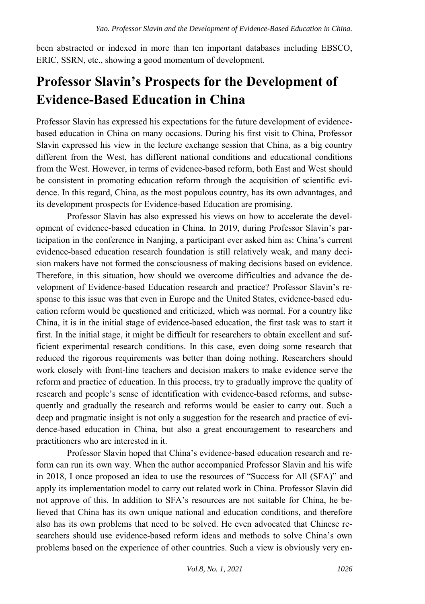been abstracted or indexed in more than ten important databases including EBSCO, ERIC, SSRN, etc., showing a good momentum of development.

#### **Professor Slavin's Prospects for the Development of Evidence-Based Education in China**

Professor Slavin has expressed his expectations for the future development of evidencebased education in China on many occasions. During his first visit to China, Professor Slavin expressed his view in the lecture exchange session that China, as a big country different from the West, has different national conditions and educational conditions from the West. However, in terms of evidence-based reform, both East and West should be consistent in promoting education reform through the acquisition of scientific evidence. In this regard, China, as the most populous country, has its own advantages, and its development prospects for Evidence-based Education are promising.

Professor Slavin has also expressed his views on how to accelerate the development of evidence-based education in China. In 2019, during Professor Slavin's participation in the conference in Nanjing, a participant ever asked him as: China's current evidence-based education research foundation is still relatively weak, and many decision makers have not formed the consciousness of making decisions based on evidence. Therefore, in this situation, how should we overcome difficulties and advance the development of Evidence-based Education research and practice? Professor Slavin's response to this issue was that even in Europe and the United States, evidence-based education reform would be questioned and criticized, which was normal. For a country like China, it is in the initial stage of evidence-based education, the first task was to start it first. In the initial stage, it might be difficult for researchers to obtain excellent and sufficient experimental research conditions. In this case, even doing some research that reduced the rigorous requirements was better than doing nothing. Researchers should work closely with front-line teachers and decision makers to make evidence serve the reform and practice of education. In this process, try to gradually improve the quality of research and people's sense of identification with evidence-based reforms, and subsequently and gradually the research and reforms would be easier to carry out. Such a deep and pragmatic insight is not only a suggestion for the research and practice of evidence-based education in China, but also a great encouragement to researchers and practitioners who are interested in it.

Professor Slavin hoped that China's evidence-based education research and reform can run its own way. When the author accompanied Professor Slavin and his wife in 2018, I once proposed an idea to use the resources of "Success for All (SFA)" and apply its implementation model to carry out related work in China. Professor Slavin did not approve of this. In addition to SFA's resources are not suitable for China, he believed that China has its own unique national and education conditions, and therefore also has its own problems that need to be solved. He even advocated that Chinese researchers should use evidence-based reform ideas and methods to solve China's own problems based on the experience of other countries. Such a view is obviously very en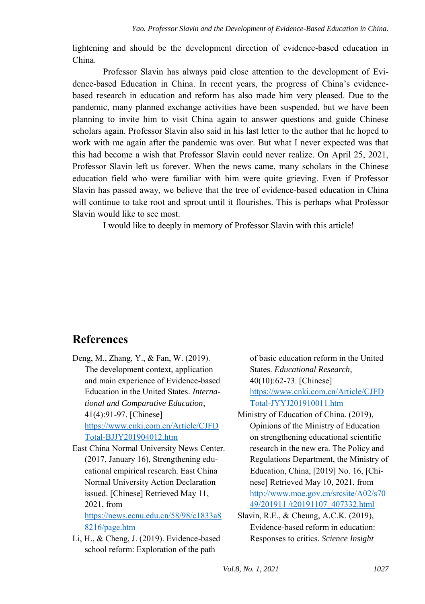lightening and should be the development direction of evidence-based education in China.

Professor Slavin has always paid close attention to the development of Evidence-based Education in China. In recent years, the progress of China's evidencebased research in education and reform has also made him very pleased. Due to the pandemic, many planned exchange activities have been suspended, but we have been planning to invite him to visit China again to answer questions and guide Chinese scholars again. Professor Slavin also said in his last letter to the author that he hoped to work with me again after the pandemic was over. But what I never expected was that this had become a wish that Professor Slavin could never realize. On April 25, 2021, Professor Slavin left us forever. When the news came, many scholars in the Chinese education field who were familiar with him were quite grieving. Even if Professor Slavin has passed away, we believe that the tree of evidence-based education in China will continue to take root and sprout until it flourishes. This is perhaps what Professor Slavin would like to see most.

I would like to deeply in memory of Professor Slavin with this article!

#### **References**

- Deng, M., Zhang, Y., & Fan, W. (2019). The development context, application and main experience of Evidence-based Education in the United States. *International and Comparative Education*, 41(4):91-97. [Chinese] [https://www.cnki.com.cn/Article/CJFD](https://www.cnki.com.cn/Article/CJFDTotal-BJJY201904012.htm) [Total-BJJY201904012.htm](https://www.cnki.com.cn/Article/CJFDTotal-BJJY201904012.htm)
- East China Normal University News Center. (2017, January 16), Strengthening educational empirical research. East China Normal University Action Declaration issued. [Chinese] Retrieved May 11, 2021, from [https://news.ecnu.edu.cn/58/98/c1833a8](https://news.ecnu.edu.cn/58/98/c1833a88216/page.htm)

[8216/page.htm](https://news.ecnu.edu.cn/58/98/c1833a88216/page.htm) 

Li, H., & Cheng, J. (2019). Evidence-based school reform: Exploration of the path

of basic education reform in the United States. *Educational Research*, 40(10):62-73. [Chinese] [https://www.cnki.com.cn/Article/CJFD](https://www.cnki.com.cn/Article/CJFDTotal-JYYJ201910011.htm) [Total-JYYJ201910011.htm](https://www.cnki.com.cn/Article/CJFDTotal-JYYJ201910011.htm) 

- Ministry of Education of China. (2019), Opinions of the Ministry of Education on strengthening educational scientific research in the new era. The Policy and Regulations Department, the Ministry of Education, China, [2019] No. 16, [Chinese] Retrieved May 10, 2021, from [http://www.moe.gov.cn/srcsite/A02/s70](http://www.moe.gov.cn/srcsite/A02/s7049/201911%20/t20191107_407332.html) [49/201911 /t20191107\\_407332.html](http://www.moe.gov.cn/srcsite/A02/s7049/201911%20/t20191107_407332.html)
- Slavin, R.E., & Cheung, A.C.K. (2019), Evidence-based reform in education: Responses to critics. *Science Insight*